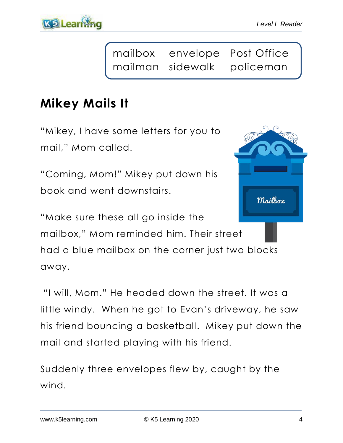mailbox envelope Post Office mailman sidewalk policeman

# **Mikey Mails It**

**KE Learn** 

"Mikey, I have some letters for you to mail," Mom called.

"Coming, Mom!" Mikey put down his book and went downstairs.



"Make sure these all go inside the mailbox," Mom reminded him. Their street had a blue mailbox on the corner just two blocks away.

"I will, Mom." He headed down the street. It was a little windy. When he got to Evan's driveway, he saw his friend bouncing a basketball. Mikey put down the mail and started playing with his friend.

Suddenly three envelopes flew by, caught by the wind.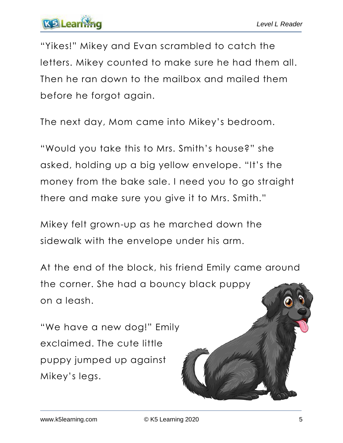

"Yikes!" Mikey and Evan scrambled to catch the letters. Mikey counted to make sure he had them all. Then he ran down to the mailbox and mailed them before he forgot again.

The next day, Mom came into Mikey's bedroom.

"Would you take this to Mrs. Smith's house?" she asked, holding up a big yellow envelope. "It's the money from the bake sale. I need you to go straight there and make sure you give it to Mrs. Smith."

Mikey felt grown-up as he marched down the sidewalk with the envelope under his arm.

At the end of the block, his friend Emily came around the corner. She had a bouncy black puppy on a leash.

"We have a new dog!" Emily exclaimed. The cute little puppy jumped up against Mikey's legs.

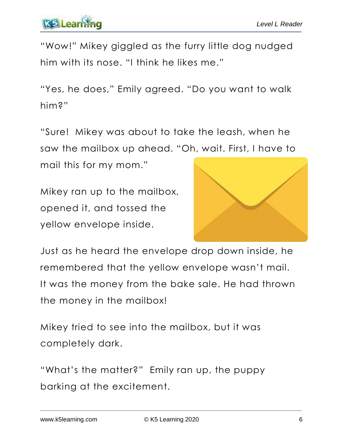

"Wow!" Mikey giggled as the furry little dog nudged him with its nose. "I think he likes me."

"Yes, he does," Emily agreed. "Do you want to walk him?"

"Sure! Mikey was about to take the leash, when he saw the mailbox up ahead. "Oh, wait. First, I have to

mail this for my mom."

Mikey ran up to the mailbox, opened it, and tossed the yellow envelope inside.



Just as he heard the envelope drop down inside, he remembered that the yellow envelope wasn't mail. It was the money from the bake sale. He had thrown the money in the mailbox!

Mikey tried to see into the mailbox, but it was completely dark.

"What's the matter?" Emily ran up, the puppy barking at the excitement.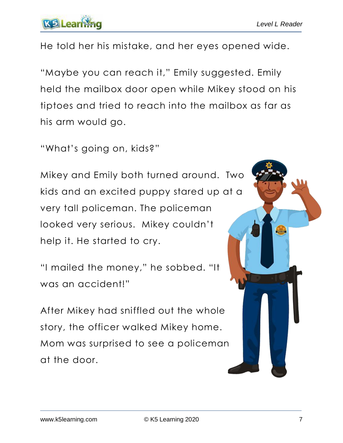

He told her his mistake, and her eyes opened wide.

"Maybe you can reach it," Emily suggested. Emily held the mailbox door open while Mikey stood on his tiptoes and tried to reach into the mailbox as far as his arm would go.

"What's going on, kids?"

Mikey and Emily both turned around. Two kids and an excited puppy stared up at a very tall policeman. The policeman looked very serious. Mikey couldn't help it. He started to cry.

"I mailed the money," he sobbed. "It was an accident!"

After Mikey had sniffled out the whole story, the officer walked Mikey home. Mom was surprised to see a policeman at the door.

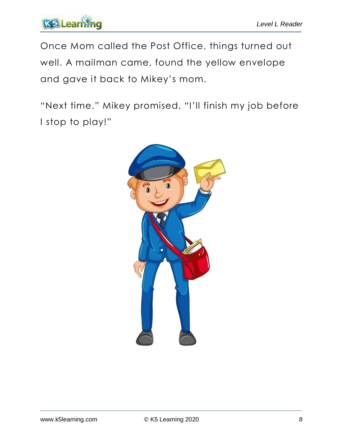Once Mom called the Post Office, things turned out well. A mailman came, found the yellow envelope and gave it back to Mikey's mom.

"Next time," Mikey promised, "I'll finish my job before I stop to play!"

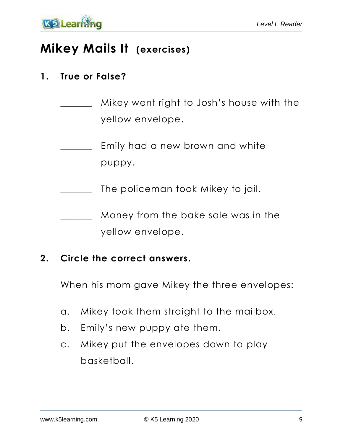

## **Mikey Mails It (exercises)**

## **1. True or False?**

- Mikey went right to Josh's house with the yellow envelope.
- Emily had a new brown and white puppy.
	- The policeman took Mikey to jail.
	- \_\_\_\_\_\_\_ Money from the bake sale was in the yellow envelope.

### **2. Circle the correct answers.**

When his mom gave Mikey the three envelopes:

- a. Mikey took them straight to the mailbox.
- b. Emily's new puppy ate them.
- c. Mikey put the envelopes down to play basketball.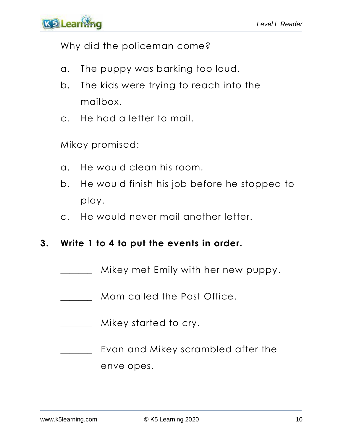**KS Lear** 

Why did the policeman come?

- a. The puppy was barking too loud.
- b. The kids were trying to reach into the mailbox.
- c. He had a letter to mail.

Mikey promised:

- a. He would clean his room.
- b. He would finish his job before he stopped to play.
- c. He would never mail another letter.

### **3. Write 1 to 4 to put the events in order.**

- Mikey met Emily with her new puppy.
- Mom called the Post Office.
- Mikey started to cry.

Evan and Mikey scrambled after the envelopes.